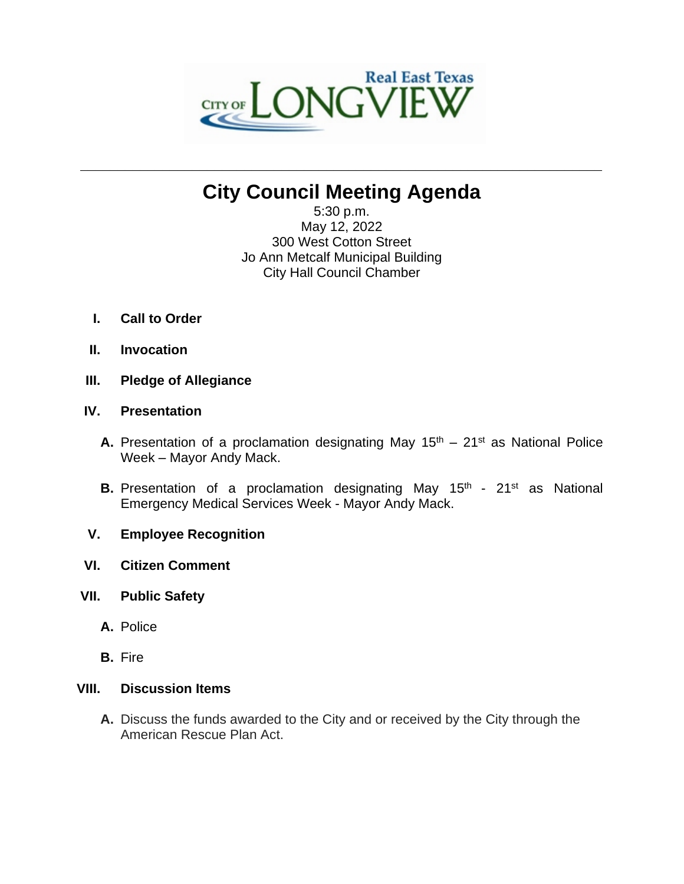

# **City Council Meeting Agenda**

**\_\_\_\_\_\_\_\_\_\_\_\_\_\_\_\_\_\_\_\_\_\_\_\_\_\_\_\_\_\_\_\_\_\_\_\_\_\_\_\_\_\_\_\_\_\_\_\_\_\_\_\_\_\_\_\_\_\_\_\_\_\_\_\_\_\_\_\_\_\_**

5:30 p.m. May 12, 2022 300 West Cotton Street Jo Ann Metcalf Municipal Building City Hall Council Chamber

- **I. Call to Order**
- **II. Invocation**
- **III. Pledge of Allegiance**

## **IV. Presentation**

- **A.** Presentation of a proclamation designating May  $15<sup>th</sup> 21<sup>st</sup>$  as National Police Week – Mayor Andy Mack.
- **B.** Presentation of a proclamation designating May 15<sup>th</sup> 21<sup>st</sup> as National Emergency Medical Services Week - Mayor Andy Mack.
- **V. Employee Recognition**
- **VI. Citizen Comment**
- **VII. Public Safety**
	- **A.** Police
	- **B.** Fire

## **VIII. Discussion Items**

**A.** Discuss the funds awarded to the City and or received by the City through the American Rescue Plan Act.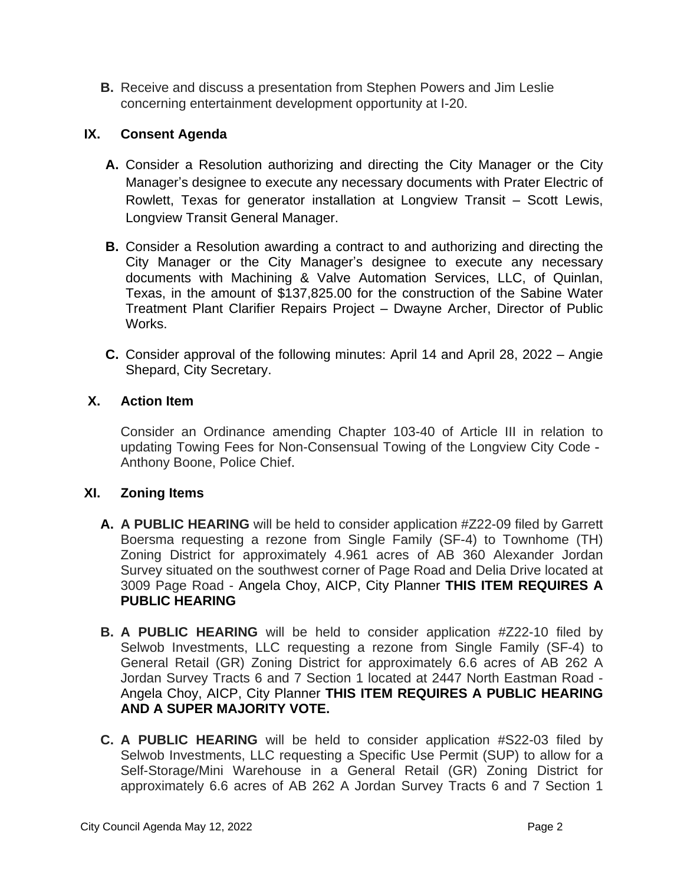**B.** Receive and discuss a presentation from Stephen Powers and Jim Leslie concerning entertainment development opportunity at I-20.

# **IX. Consent Agenda**

- **A.** Consider a Resolution authorizing and directing the City Manager or the City Manager's designee to execute any necessary documents with Prater Electric of Rowlett, Texas for generator installation at Longview Transit – Scott Lewis, Longview Transit General Manager.
- **B.** Consider a Resolution awarding a contract to and authorizing and directing the City Manager or the City Manager's designee to execute any necessary documents with Machining & Valve Automation Services, LLC, of Quinlan, Texas, in the amount of \$137,825.00 for the construction of the Sabine Water Treatment Plant Clarifier Repairs Project – Dwayne Archer, Director of Public Works.
- **C.** Consider approval of the following minutes: April 14 and April 28, 2022 Angie Shepard, City Secretary.

## **X. Action Item**

Consider an Ordinance amending Chapter 103-40 of Article III in relation to updating Towing Fees for Non-Consensual Towing of the Longview City Code - Anthony Boone, Police Chief.

# **XI. Zoning Items**

- **A. A PUBLIC HEARING** will be held to consider application #Z22-09 filed by Garrett Boersma requesting a rezone from Single Family (SF-4) to Townhome (TH) Zoning District for approximately 4.961 acres of AB 360 Alexander Jordan Survey situated on the southwest corner of Page Road and Delia Drive located at 3009 Page Road - Angela Choy, AICP, City Planner **THIS ITEM REQUIRES A PUBLIC HEARING**
- **B. A PUBLIC HEARING** will be held to consider application #Z22-10 filed by Selwob Investments, LLC requesting a rezone from Single Family (SF-4) to General Retail (GR) Zoning District for approximately 6.6 acres of AB 262 A Jordan Survey Tracts 6 and 7 Section 1 located at 2447 North Eastman Road - Angela Choy, AICP, City Planner **THIS ITEM REQUIRES A PUBLIC HEARING AND A SUPER MAJORITY VOTE.**
- **C. A PUBLIC HEARING** will be held to consider application #S22-03 filed by Selwob Investments, LLC requesting a Specific Use Permit (SUP) to allow for a Self-Storage/Mini Warehouse in a General Retail (GR) Zoning District for approximately 6.6 acres of AB 262 A Jordan Survey Tracts 6 and 7 Section 1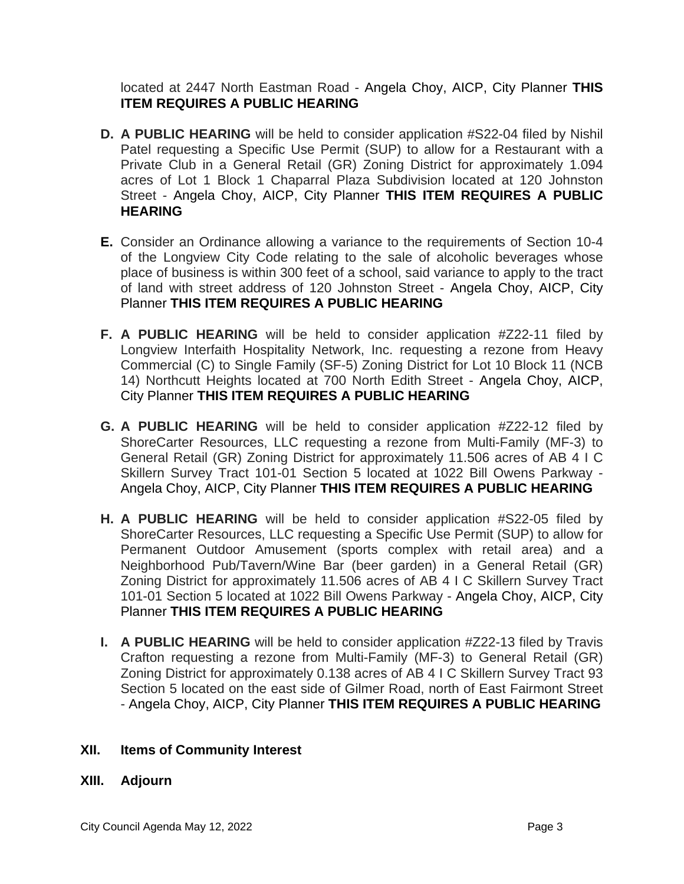located at 2447 North Eastman Road - Angela Choy, AICP, City Planner **THIS ITEM REQUIRES A PUBLIC HEARING**

- **D. A PUBLIC HEARING** will be held to consider application #S22-04 filed by Nishil Patel requesting a Specific Use Permit (SUP) to allow for a Restaurant with a Private Club in a General Retail (GR) Zoning District for approximately 1.094 acres of Lot 1 Block 1 Chaparral Plaza Subdivision located at 120 Johnston Street - Angela Choy, AICP, City Planner **THIS ITEM REQUIRES A PUBLIC HEARING**
- **E.** Consider an Ordinance allowing a variance to the requirements of Section 10-4 of the Longview City Code relating to the sale of alcoholic beverages whose place of business is within 300 feet of a school, said variance to apply to the tract of land with street address of 120 Johnston Street - Angela Choy, AICP, City Planner **THIS ITEM REQUIRES A PUBLIC HEARING**
- **F. A PUBLIC HEARING** will be held to consider application #Z22-11 filed by Longview Interfaith Hospitality Network, Inc. requesting a rezone from Heavy Commercial (C) to Single Family (SF-5) Zoning District for Lot 10 Block 11 (NCB 14) Northcutt Heights located at 700 North Edith Street - Angela Choy, AICP, City Planner **THIS ITEM REQUIRES A PUBLIC HEARING**
- **G. A PUBLIC HEARING** will be held to consider application #Z22-12 filed by ShoreCarter Resources, LLC requesting a rezone from Multi-Family (MF-3) to General Retail (GR) Zoning District for approximately 11.506 acres of AB 4 I C Skillern Survey Tract 101-01 Section 5 located at 1022 Bill Owens Parkway - Angela Choy, AICP, City Planner **THIS ITEM REQUIRES A PUBLIC HEARING**
- **H. A PUBLIC HEARING** will be held to consider application #S22-05 filed by ShoreCarter Resources, LLC requesting a Specific Use Permit (SUP) to allow for Permanent Outdoor Amusement (sports complex with retail area) and a Neighborhood Pub/Tavern/Wine Bar (beer garden) in a General Retail (GR) Zoning District for approximately 11.506 acres of AB 4 I C Skillern Survey Tract 101-01 Section 5 located at 1022 Bill Owens Parkway - Angela Choy, AICP, City Planner **THIS ITEM REQUIRES A PUBLIC HEARING**
- **I. A PUBLIC HEARING** will be held to consider application #Z22-13 filed by Travis Crafton requesting a rezone from Multi-Family (MF-3) to General Retail (GR) Zoning District for approximately 0.138 acres of AB 4 I C Skillern Survey Tract 93 Section 5 located on the east side of Gilmer Road, north of East Fairmont Street - Angela Choy, AICP, City Planner **THIS ITEM REQUIRES A PUBLIC HEARING**

# **XII. Items of Community Interest**

## **XIII. Adjourn**